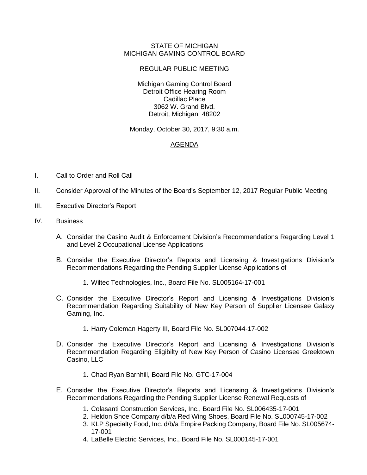## STATE OF MICHIGAN MICHIGAN GAMING CONTROL BOARD

## REGULAR PUBLIC MEETING

Michigan Gaming Control Board Detroit Office Hearing Room Cadillac Place 3062 W. Grand Blvd. Detroit, Michigan 48202

Monday, October 30, 2017, 9:30 a.m.

## AGENDA

- I. Call to Order and Roll Call
- II. Consider Approval of the Minutes of the Board's September 12, 2017 Regular Public Meeting
- III. Executive Director's Report
- IV. Business
	- A. Consider the Casino Audit & Enforcement Division's Recommendations Regarding Level 1 and Level 2 Occupational License Applications
	- B. Consider the Executive Director's Reports and Licensing & Investigations Division's Recommendations Regarding the Pending Supplier License Applications of
		- 1. Wiltec Technologies, Inc., Board File No. SL005164-17-001
	- C. Consider the Executive Director's Report and Licensing & Investigations Division's Recommendation Regarding Suitability of New Key Person of Supplier Licensee Galaxy Gaming, Inc.
		- 1. Harry Coleman Hagerty III, Board File No. SL007044-17-002
	- D. Consider the Executive Director's Report and Licensing & Investigations Division's Recommendation Regarding Eligibilty of New Key Person of Casino Licensee Greektown Casino, LLC
		- 1. Chad Ryan Barnhill, Board File No. GTC-17-004
	- E. Consider the Executive Director's Reports and Licensing & Investigations Division's Recommendations Regarding the Pending Supplier License Renewal Requests of
		- 1. Colasanti Construction Services, Inc., Board File No. SL006435-17-001
		- 2. Heldon Shoe Company d/b/a Red Wing Shoes, Board File No. SL000745-17-002
		- 3. KLP Specialty Food, Inc. d/b/a Empire Packing Company, Board File No. SL005674- 17-001
		- 4. LaBelle Electric Services, Inc., Board File No. SL000145-17-001